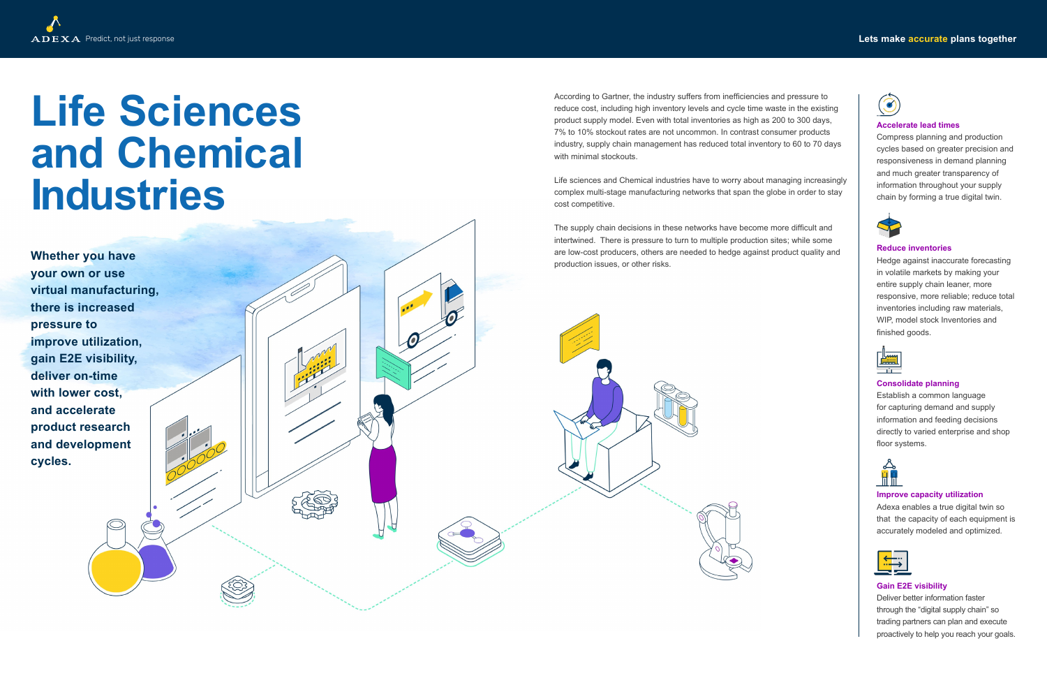# Predict, not just response **Lets make accurate plans together**



# **Life Sciences and Chemical Industries**

According to Gartner, the industry suffers from inefficiencies and pressure to reduce cost, including high inventory levels and cycle time waste in the existing product supply model. Even with total inventories as high as 200 to 300 days, 7% to 10% stockout rates are not uncommon. In contrast consumer products industry, supply chain management has reduced total inventory to 60 to 70 days with minimal stockouts.

The supply chain decisions in these networks have become more difficult and intertwined. There is pressure to turn to multiple production sites; while some are low-cost producers, others are needed to hedge against product quality and **Production issues, or other risks. Production issues**, or other risks.

Life sciences and Chemical industries have to worry about managing increasingly complex multi-stage manufacturing networks that span the globe in order to stay cost competitive.

**your own or use virtual manufacturing, there is increased pressure to improve utilization, gain E2E visibility, deliver on-time with lower cost, and accelerate product research and development cycles.**

### **Accelerate lead times**

Compress planning and production cycles based on greater precision and responsiveness in demand planning and much greater transparency of information throughout your supply chain by forming a true digital twin.



### **Reduce inventories**

Hedge against inaccurate forecasting in volatile markets by making your entire supply chain leaner, more responsive, more reliable; reduce total inventories including raw materials, WIP, model stock Inventories and finished goods.



### **Consolidate planning**

Establish a common language for capturing demand and supply information and feeding decisions directly to varied enterprise and shop floor systems.



## **Improve capacity utilization**

Adexa enables a true digital twin so that the capacity of each equipment is accurately modeled and optimized.



### **Gain E2E visibility**

Deliver better information faster through the "digital supply chain" so trading partners can plan and execute proactively to help you reach your goals.